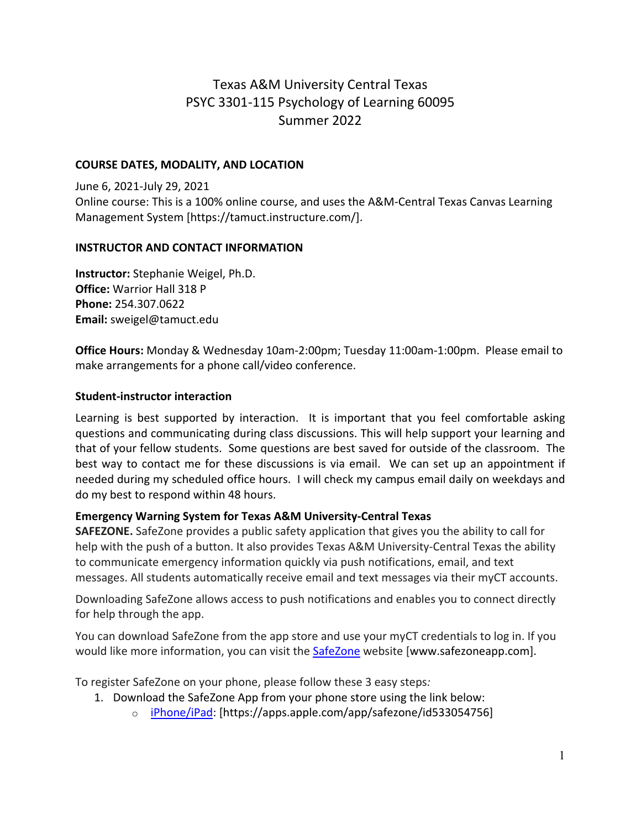# Texas A&M University Central Texas PSYC 3301-115 Psychology of Learning 60095 Summer 2022

#### **COURSE DATES, MODALITY, AND LOCATION**

June 6, 2021-July 29, 2021 Online course: This is a 100% online course, and uses the A&M-Central Texas Canvas Learning Management System [https://tamuct.instructure.com/].

#### **INSTRUCTOR AND CONTACT INFORMATION**

**Instructor:** Stephanie Weigel, Ph.D. **Office:** Warrior Hall 318 P **Phone:** 254.307.0622 **Email:** sweigel@tamuct.edu

**Office Hours:** Monday & Wednesday 10am-2:00pm; Tuesday 11:00am-1:00pm. Please email to make arrangements for a phone call/video conference.

### **Student-instructor interaction**

Learning is best supported by interaction. It is important that you feel comfortable asking questions and communicating during class discussions. This will help support your learning and that of your fellow students. Some questions are best saved for outside of the classroom. The best way to contact me for these discussions is via email. We can set up an appointment if needed during my scheduled office hours. I will check my campus email daily on weekdays and do my best to respond within 48 hours.

#### **Emergency Warning System for Texas A&M University-Central Texas**

**SAFEZONE.** SafeZone provides a public safety application that gives you the ability to call for help with the push of a button. It also provides Texas A&M University-Central Texas the ability to communicate emergency information quickly via push notifications, email, and text messages. All students automatically receive email and text messages via their myCT accounts.

Downloading SafeZone allows access to push notifications and enables you to connect directly for help through the app.

You can download SafeZone from the app store and use your myCT credentials to log in. If you would like more information, you can visit the [SafeZone](http://www.safezoneapp.com/) website [www.safezoneapp.com].

To register SafeZone on your phone, please follow these 3 easy steps*:*

- 1. Download the SafeZone App from your phone store using the link below:
	- o [iPhone/iPad:](https://apps.apple.com/app/safezone/id533054756) [https://apps.apple.com/app/safezone/id533054756]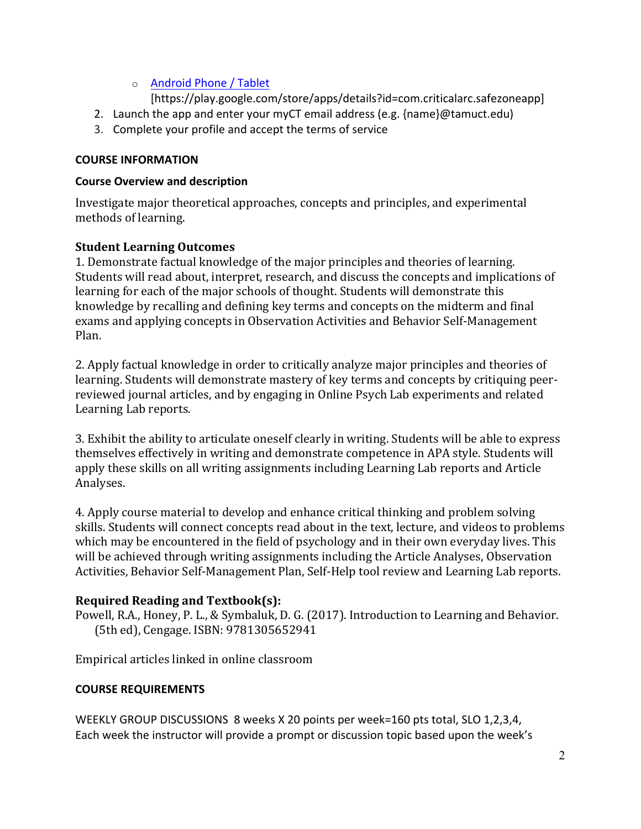## o [Android Phone / Tablet](https://play.google.com/store/apps/details?id=com.criticalarc.safezoneapp)

[https://play.google.com/store/apps/details?id=com.criticalarc.safezoneapp]

- 2. Launch the app and enter your myCT email address (e.g. {name}@tamuct.edu)
- 3. Complete your profile and accept the terms of service

## **COURSE INFORMATION**

## **Course Overview and description**

Investigate major theoretical approaches, concepts and principles, and experimental methods of learning.

## **Student Learning Outcomes**

1. Demonstrate factual knowledge of the major principles and theories of learning. Students will read about, interpret, research, and discuss the concepts and implications of learning for each of the major schools of thought. Students will demonstrate this knowledge by recalling and defining key terms and concepts on the midterm and final exams and applying concepts in Observation Activities and Behavior Self-Management Plan.

2. Apply factual knowledge in order to critically analyze major principles and theories of learning. Students will demonstrate mastery of key terms and concepts by critiquing peerreviewed journal articles, and by engaging in Online Psych Lab experiments and related Learning Lab reports.

3. Exhibit the ability to articulate oneself clearly in writing. Students will be able to express themselves effectively in writing and demonstrate competence in APA style. Students will apply these skills on all writing assignments including Learning Lab reports and Article Analyses.

4. Apply course material to develop and enhance critical thinking and problem solving skills. Students will connect concepts read about in the text, lecture, and videos to problems which may be encountered in the field of psychology and in their own everyday lives. This will be achieved through writing assignments including the Article Analyses, Observation Activities, Behavior Self-Management Plan, Self-Help tool review and Learning Lab reports.

## **Required Reading and Textbook(s):**

Powell, R.A., Honey, P. L., & Symbaluk, D. G. (2017). Introduction to Learning and Behavior. (5th ed), Cengage. ISBN: 9781305652941

Empirical articles linked in online classroom

## **COURSE REQUIREMENTS**

WEEKLY GROUP DISCUSSIONS 8 weeks X 20 points per week=160 pts total, SLO 1,2,3,4, Each week the instructor will provide a prompt or discussion topic based upon the week's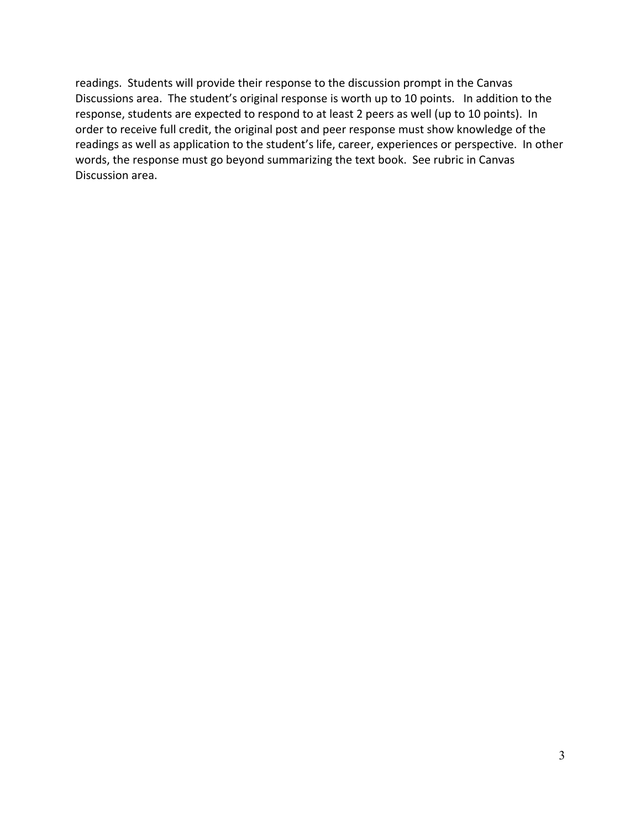readings. Students will provide their response to the discussion prompt in the Canvas Discussions area. The student's original response is worth up to 10 points. In addition to the response, students are expected to respond to at least 2 peers as well (up to 10 points). In order to receive full credit, the original post and peer response must show knowledge of the readings as well as application to the student's life, career, experiences or perspective. In other words, the response must go beyond summarizing the text book. See rubric in Canvas Discussion area.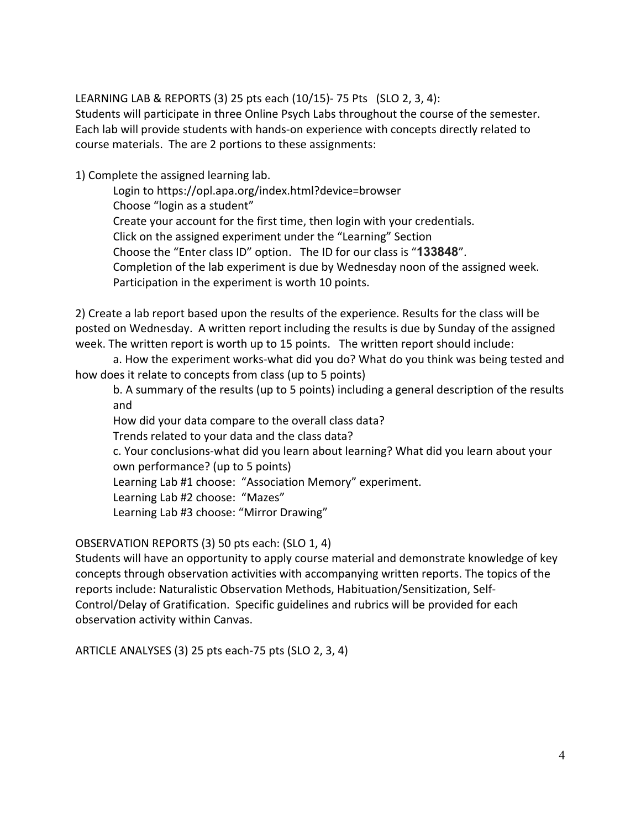LEARNING LAB & REPORTS (3) 25 pts each (10/15)- 75 Pts (SLO 2, 3, 4): Students will participate in three Online Psych Labs throughout the course of the semester. Each lab will provide students with hands-on experience with concepts directly related to course materials. The are 2 portions to these assignments:

1) Complete the assigned learning lab.

Login to https://opl.apa.org/index.html?device=browser Choose "login as a student" Create your account for the first time, then login with your credentials. Click on the assigned experiment under the "Learning" Section Choose the "Enter class ID" option. The ID for our class is "**133848**". Completion of the lab experiment is due by Wednesday noon of the assigned week. Participation in the experiment is worth 10 points.

2) Create a lab report based upon the results of the experience. Results for the class will be posted on Wednesday. A written report including the results is due by Sunday of the assigned week. The written report is worth up to 15 points. The written report should include:

a. How the experiment works-what did you do? What do you think was being tested and how does it relate to concepts from class (up to 5 points)

b. A summary of the results (up to 5 points) including a general description of the results and

How did your data compare to the overall class data?

Trends related to your data and the class data?

c. Your conclusions-what did you learn about learning? What did you learn about your own performance? (up to 5 points)

Learning Lab #1 choose: "Association Memory" experiment.

Learning Lab #2 choose: "Mazes"

Learning Lab #3 choose: "Mirror Drawing"

OBSERVATION REPORTS (3) 50 pts each: (SLO 1, 4)

Students will have an opportunity to apply course material and demonstrate knowledge of key concepts through observation activities with accompanying written reports. The topics of the reports include: Naturalistic Observation Methods, Habituation/Sensitization, Self-Control/Delay of Gratification. Specific guidelines and rubrics will be provided for each observation activity within Canvas.

ARTICLE ANALYSES (3) 25 pts each-75 pts (SLO 2, 3, 4)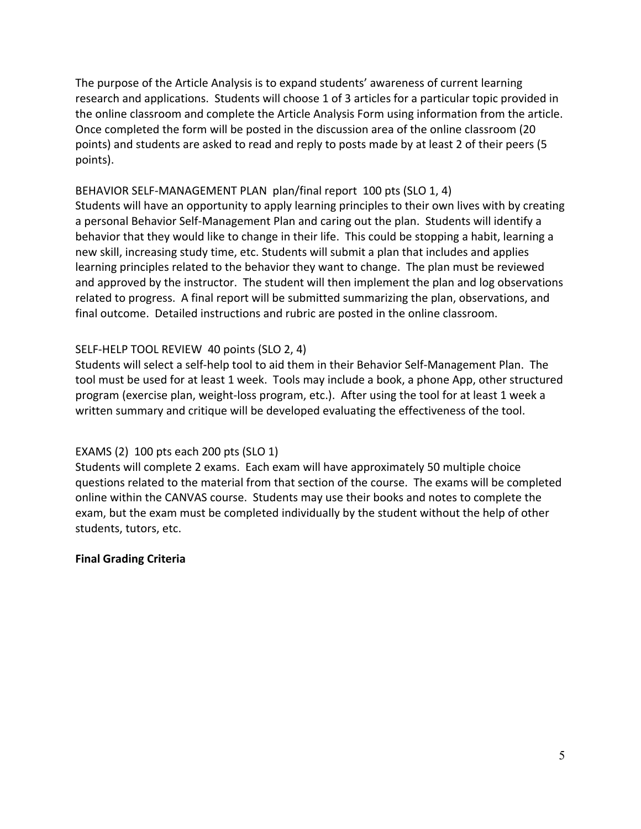The purpose of the Article Analysis is to expand students' awareness of current learning research and applications. Students will choose 1 of 3 articles for a particular topic provided in the online classroom and complete the Article Analysis Form using information from the article. Once completed the form will be posted in the discussion area of the online classroom (20 points) and students are asked to read and reply to posts made by at least 2 of their peers (5 points).

## BEHAVIOR SELF-MANAGEMENT PLAN plan/final report 100 pts (SLO 1, 4)

Students will have an opportunity to apply learning principles to their own lives with by creating a personal Behavior Self-Management Plan and caring out the plan. Students will identify a behavior that they would like to change in their life. This could be stopping a habit, learning a new skill, increasing study time, etc. Students will submit a plan that includes and applies learning principles related to the behavior they want to change. The plan must be reviewed and approved by the instructor. The student will then implement the plan and log observations related to progress. A final report will be submitted summarizing the plan, observations, and final outcome. Detailed instructions and rubric are posted in the online classroom.

## SELF-HELP TOOL REVIEW 40 points (SLO 2, 4)

Students will select a self-help tool to aid them in their Behavior Self-Management Plan. The tool must be used for at least 1 week. Tools may include a book, a phone App, other structured program (exercise plan, weight-loss program, etc.). After using the tool for at least 1 week a written summary and critique will be developed evaluating the effectiveness of the tool.

## EXAMS (2) 100 pts each 200 pts (SLO 1)

Students will complete 2 exams. Each exam will have approximately 50 multiple choice questions related to the material from that section of the course. The exams will be completed online within the CANVAS course. Students may use their books and notes to complete the exam, but the exam must be completed individually by the student without the help of other students, tutors, etc.

#### **Final Grading Criteria**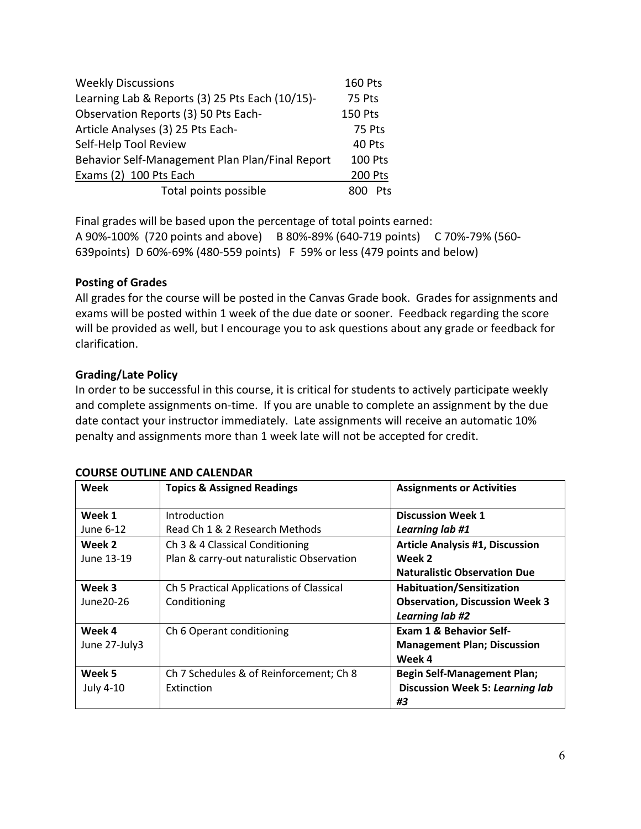| <b>Weekly Discussions</b>                       | <b>160 Pts</b> |
|-------------------------------------------------|----------------|
| Learning Lab & Reports (3) 25 Pts Each (10/15)- | 75 Pts         |
| Observation Reports (3) 50 Pts Each-            | <b>150 Pts</b> |
| Article Analyses (3) 25 Pts Each-               | 75 Pts         |
| Self-Help Tool Review                           | 40 Pts         |
| Behavior Self-Management Plan Plan/Final Report | <b>100 Pts</b> |
| Exams (2) 100 Pts Each                          | <b>200 Pts</b> |
| Total points possible                           | <b>Pts</b>     |

Final grades will be based upon the percentage of total points earned: A 90%-100% (720 points and above) B 80%-89% (640-719 points) C 70%-79% (560- 639points) D 60%-69% (480-559 points) F 59% or less (479 points and below)

## **Posting of Grades**

All grades for the course will be posted in the Canvas Grade book. Grades for assignments and exams will be posted within 1 week of the due date or sooner. Feedback regarding the score will be provided as well, but I encourage you to ask questions about any grade or feedback for clarification.

## **Grading/Late Policy**

In order to be successful in this course, it is critical for students to actively participate weekly and complete assignments on-time. If you are unable to complete an assignment by the due date contact your instructor immediately. Late assignments will receive an automatic 10% penalty and assignments more than 1 week late will not be accepted for credit.

| <b>COURSE OUTLINE AND CALENDAR</b> |  |
|------------------------------------|--|
|------------------------------------|--|

| Week             | <b>Topics &amp; Assigned Readings</b>     | <b>Assignments or Activities</b>       |
|------------------|-------------------------------------------|----------------------------------------|
| Week 1           | Introduction                              | <b>Discussion Week 1</b>               |
| June 6-12        | Read Ch 1 & 2 Research Methods            | Learning lab #1                        |
| Week 2           | Ch 3 & 4 Classical Conditioning           | <b>Article Analysis #1, Discussion</b> |
| June 13-19       | Plan & carry-out naturalistic Observation | Week 2                                 |
|                  |                                           | <b>Naturalistic Observation Due</b>    |
| Week 3           | Ch 5 Practical Applications of Classical  | <b>Habituation/Sensitization</b>       |
| June 20-26       | Conditioning                              | <b>Observation, Discussion Week 3</b>  |
|                  |                                           | Learning lab #2                        |
| Week 4           | Ch 6 Operant conditioning                 | Exam 1 & Behavior Self-                |
| June 27-July3    |                                           | <b>Management Plan; Discussion</b>     |
|                  |                                           | Week 4                                 |
| Week 5           | Ch 7 Schedules & of Reinforcement; Ch 8   | <b>Begin Self-Management Plan;</b>     |
| <b>July 4-10</b> | Extinction                                | <b>Discussion Week 5: Learning lab</b> |
|                  |                                           | #3                                     |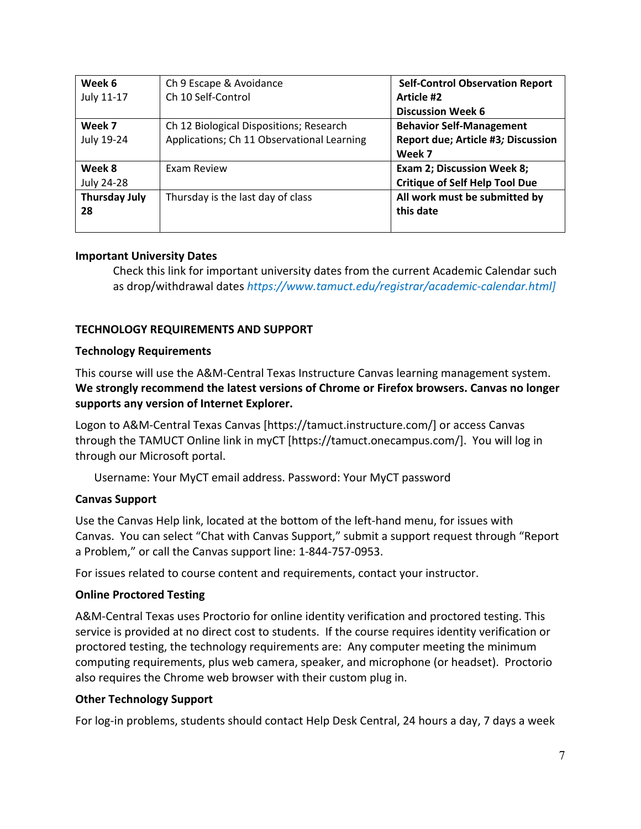| Week 6               | Ch 9 Escape & Avoidance                    | <b>Self-Control Observation Report</b> |
|----------------------|--------------------------------------------|----------------------------------------|
| July 11-17           | Ch 10 Self-Control                         | Article #2                             |
|                      |                                            | <b>Discussion Week 6</b>               |
| Week 7               | Ch 12 Biological Dispositions; Research    | <b>Behavior Self-Management</b>        |
| July 19-24           | Applications; Ch 11 Observational Learning | Report due; Article #3; Discussion     |
|                      |                                            | Week 7                                 |
| Week 8               | Exam Review                                | <b>Exam 2; Discussion Week 8;</b>      |
| July 24-28           |                                            | <b>Critique of Self Help Tool Due</b>  |
| <b>Thursday July</b> | Thursday is the last day of class          | All work must be submitted by          |
| 28                   |                                            | this date                              |
|                      |                                            |                                        |

### **Important University Dates**

Check this link for important university dates from the current Academic Calendar such as drop/withdrawal dates *https://www.tamuct.edu/registrar/academic-calendar.html]*

#### **TECHNOLOGY REQUIREMENTS AND SUPPORT**

#### **Technology Requirements**

This course will use the A&M-Central Texas Instructure Canvas learning management system. **We strongly recommend the latest versions of Chrome or Firefox browsers. Canvas no longer supports any version of Internet Explorer.**

Logon to A&M-Central Texas Canvas [https://tamuct.instructure.com/] or access Canvas through the TAMUCT Online link in myCT [https://tamuct.onecampus.com/]. You will log in through our Microsoft portal.

Username: Your MyCT email address. Password: Your MyCT password

#### **Canvas Support**

Use the Canvas Help link, located at the bottom of the left-hand menu, for issues with Canvas. You can select "Chat with Canvas Support," submit a support request through "Report a Problem," or call the Canvas support line: 1-844-757-0953.

For issues related to course content and requirements, contact your instructor.

#### **Online Proctored Testing**

A&M-Central Texas uses Proctorio for online identity verification and proctored testing. This service is provided at no direct cost to students. If the course requires identity verification or proctored testing, the technology requirements are: Any computer meeting the minimum computing requirements, plus web camera, speaker, and microphone (or headset). Proctorio also requires the Chrome web browser with their custom plug in.

#### **Other Technology Support**

For log-in problems, students should contact Help Desk Central, 24 hours a day, 7 days a week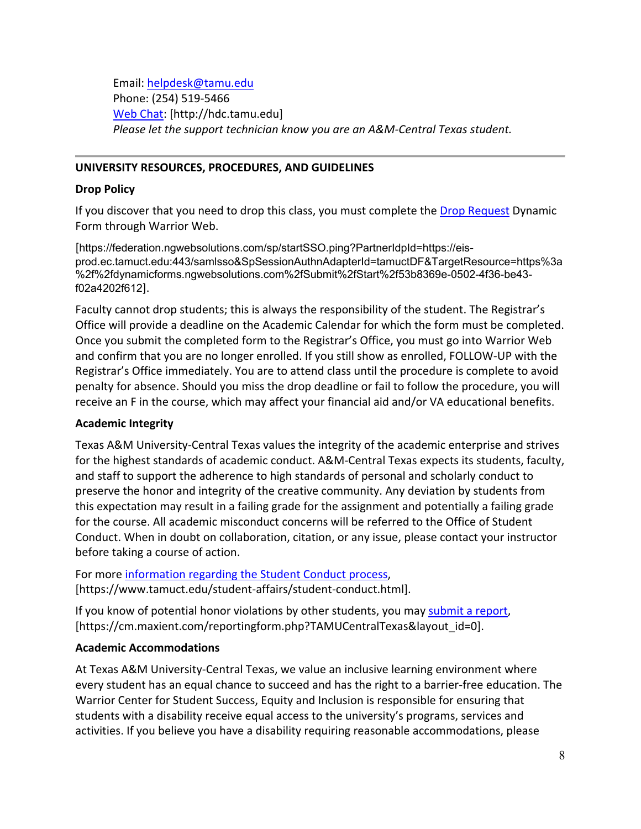Email: [helpdesk@tamu.edu](mailto:helpdesk@tamu.edu) Phone: (254) 519-5466 [Web Chat:](http://hdc.tamu.edu/) [http://hdc.tamu.edu] *Please let the support technician know you are an A&M-Central Texas student.*

#### **UNIVERSITY RESOURCES, PROCEDURES, AND GUIDELINES**

#### **Drop Policy**

If you discover that you need to drop this class, you must complete the **Drop Request** Dynamic Form through Warrior Web.

[https://federation.ngwebsolutions.com/sp/startSSO.ping?PartnerIdpId=https://eisprod.ec.tamuct.edu:443/samlsso&SpSessionAuthnAdapterId=tamuctDF&TargetResource=https%3a %2f%2fdynamicforms.ngwebsolutions.com%2fSubmit%2fStart%2f53b8369e-0502-4f36-be43 f02a4202f612].

Faculty cannot drop students; this is always the responsibility of the student. The Registrar's Office will provide a deadline on the Academic Calendar for which the form must be completed. Once you submit the completed form to the Registrar's Office, you must go into Warrior Web and confirm that you are no longer enrolled. If you still show as enrolled, FOLLOW-UP with the Registrar's Office immediately. You are to attend class until the procedure is complete to avoid penalty for absence. Should you miss the drop deadline or fail to follow the procedure, you will receive an F in the course, which may affect your financial aid and/or VA educational benefits.

#### **Academic Integrity**

Texas A&M University-Central Texas values the integrity of the academic enterprise and strives for the highest standards of academic conduct. A&M-Central Texas expects its students, faculty, and staff to support the adherence to high standards of personal and scholarly conduct to preserve the honor and integrity of the creative community. Any deviation by students from this expectation may result in a failing grade for the assignment and potentially a failing grade for the course. All academic misconduct concerns will be referred to the Office of Student Conduct. When in doubt on collaboration, citation, or any issue, please contact your instructor before taking a course of action.

For more [information](https://nam04.safelinks.protection.outlook.com/?url=https%3A%2F%2Fwww.tamuct.edu%2Fstudent-affairs%2Fstudent-conduct.html&data=04%7C01%7Clisa.bunkowski%40tamuct.edu%7Ccfb6e486f24745f53e1a08d910055cb2%7C9eed4e3000f744849ff193ad8005acec%7C0%7C0%7C637558437485252160%7CUnknown%7CTWFpbGZsb3d8eyJWIjoiMC4wLjAwMDAiLCJQIjoiV2luMzIiLCJBTiI6Ik1haWwiLCJXVCI6Mn0%3D%7C1000&sdata=yjftDEVHvLX%2FhM%2FcFU0B99krV1RgEWR%2BJ%2BhvtoR6TYk%3D&reserved=0) regarding the Student Conduct process, [https://www.tamuct.edu/student-affairs/student-conduct.html].

If you know of potential honor violations by other students, you may [submit](https://nam04.safelinks.protection.outlook.com/?url=https%3A%2F%2Fcm.maxient.com%2Freportingform.php%3FTAMUCentralTexas%26layout_id%3D0&data=04%7C01%7Clisa.bunkowski%40tamuct.edu%7Ccfb6e486f24745f53e1a08d910055cb2%7C9eed4e3000f744849ff193ad8005acec%7C0%7C0%7C637558437485262157%7CUnknown%7CTWFpbGZsb3d8eyJWIjoiMC4wLjAwMDAiLCJQIjoiV2luMzIiLCJBTiI6Ik1haWwiLCJXVCI6Mn0%3D%7C1000&sdata=CXGkOa6uPDPX1IMZ87z3aZDq2n91xfHKu4MMS43Ejjk%3D&reserved=0) a report, [https://cm.maxient.com/reportingform.php?TAMUCentralTexas&layout\_id=0].

#### **Academic Accommodations**

At Texas A&M University-Central Texas, we value an inclusive learning environment where every student has an equal chance to succeed and has the right to a barrier-free education. The Warrior Center for Student Success, Equity and Inclusion is responsible for ensuring that students with a disability receive equal access to the university's programs, services and activities. If you believe you have a disability requiring reasonable accommodations, please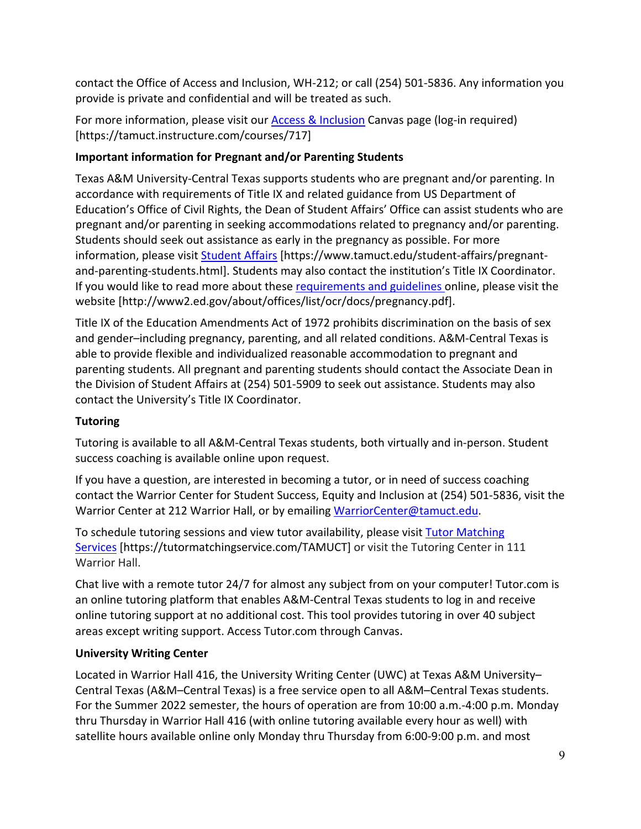contact the Office of Access and Inclusion, WH-212; or call (254) 501-5836. Any information you provide is private and confidential and will be treated as such.

For more information, please visit our [Access & Inclusion](https://tamuct.instructure.com/courses/717) Canvas page (log-in required) [https://tamuct.instructure.com/courses/717]

## **Important information for Pregnant and/or Parenting Students**

Texas A&M University-Central Texas supports students who are pregnant and/or parenting. In accordance with requirements of Title IX and related guidance from US Department of Education's Office of Civil Rights, the Dean of Student Affairs' Office can assist students who are pregnant and/or parenting in seeking accommodations related to pregnancy and/or parenting. Students should seek out assistance as early in the pregnancy as possible. For more information, please visit [Student Affairs](https://www.tamuct.edu/student-affairs/pregnant-and-parenting-students.html) [https://www.tamuct.edu/student-affairs/pregnantand-parenting-students.html]. Students may also contact the institution's Title IX Coordinator. If you would like to read more about these [requirements and guidelines](http://www2.ed.gov/about/offices/list/ocr/docs/pregnancy.pdf) online, please visit the website [http://www2.ed.gov/about/offices/list/ocr/docs/pregnancy.pdf].

Title IX of the Education Amendments Act of 1972 prohibits discrimination on the basis of sex and gender–including pregnancy, parenting, and all related conditions. A&M-Central Texas is able to provide flexible and individualized reasonable accommodation to pregnant and parenting students. All pregnant and parenting students should contact the Associate Dean in the Division of Student Affairs at (254) 501-5909 to seek out assistance. Students may also contact the University's Title IX Coordinator.

## **Tutoring**

Tutoring is available to all A&M-Central Texas students, both virtually and in-person. Student success coaching is available online upon request.

If you have a question, are interested in becoming a tutor, or in need of success coaching contact the Warrior Center for Student Success, Equity and Inclusion at (254) 501-5836, visit the Warrior Center at 212 Warrior Hall, or by emailing [WarriorCenter@tamuct.edu.](mailto:WarriorCenter@tamuct.edu)

To schedule tutoring sessions and view tutor availability, please visit Tutor [Matching](https://tutormatchingservice.com/TAMUCT) [Services](https://tutormatchingservice.com/TAMUCT) [https://tutormatchingservice.com/TAMUCT] or visit the Tutoring Center in 111 Warrior Hall.

Chat live with a remote tutor 24/7 for almost any subject from on your computer! Tutor.com is an online tutoring platform that enables A&M-Central Texas students to log in and receive online tutoring support at no additional cost. This tool provides tutoring in over 40 subject areas except writing support. Access Tutor.com through Canvas.

## **University Writing Center**

Located in Warrior Hall 416, the University Writing Center (UWC) at Texas A&M University– Central Texas (A&M–Central Texas) is a free service open to all A&M–Central Texas students. For the Summer 2022 semester, the hours of operation are from 10:00 a.m.-4:00 p.m. Monday thru Thursday in Warrior Hall 416 (with online tutoring available every hour as well) with satellite hours available online only Monday thru Thursday from 6:00-9:00 p.m. and most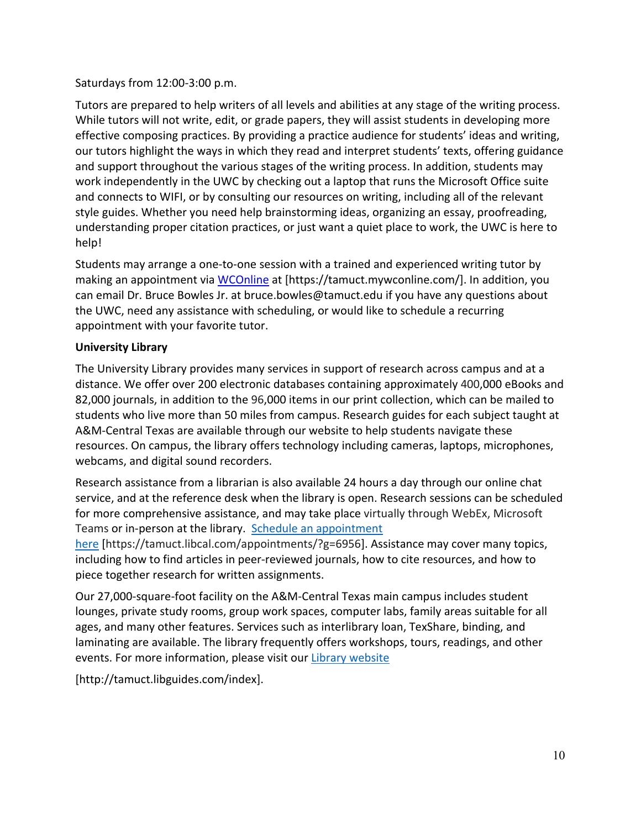### Saturdays from 12:00-3:00 p.m.

Tutors are prepared to help writers of all levels and abilities at any stage of the writing process. While tutors will not write, edit, or grade papers, they will assist students in developing more effective composing practices. By providing a practice audience for students' ideas and writing, our tutors highlight the ways in which they read and interpret students' texts, offering guidance and support throughout the various stages of the writing process. In addition, students may work independently in the UWC by checking out a laptop that runs the Microsoft Office suite and connects to WIFI, or by consulting our resources on writing, including all of the relevant style guides. Whether you need help brainstorming ideas, organizing an essay, proofreading, understanding proper citation practices, or just want a quiet place to work, the UWC is here to help!

Students may arrange a one-to-one session with a trained and experienced writing tutor by making an appointment via [WCOnline](https://tamuct.mywconline.com/) at [https://tamuct.mywconline.com/]. In addition, you can email Dr. Bruce Bowles Jr. at bruce.bowles@tamuct.edu if you have any questions about the UWC, need any assistance with scheduling, or would like to schedule a recurring appointment with your favorite tutor.

### **University Library**

The University Library provides many services in support of research across campus and at a distance. We offer over 200 electronic databases containing approximately 400,000 eBooks and 82,000 journals, in addition to the 96,000 items in our print collection, which can be mailed to students who live more than 50 miles from campus. Research guides for each subject taught at A&M-Central Texas are available through our website to help students navigate these resources. On campus, the library offers technology including cameras, laptops, microphones, webcams, and digital sound recorders.

Research assistance from a librarian is also available 24 hours a day through our online chat service, and at the reference desk when the library is open. Research sessions can be scheduled for more comprehensive assistance, and may take place virtually through WebEx, Microsoft Teams or in-person at the library. Schedule an [appointment](https://nam04.safelinks.protection.outlook.com/?url=https%3A%2F%2Ftamuct.libcal.com%2Fappointments%2F%3Fg%3D6956&data=04%7C01%7Clisa.bunkowski%40tamuct.edu%7Cde2c07d9f5804f09518008d9ab7ba6ff%7C9eed4e3000f744849ff193ad8005acec%7C0%7C0%7C637729369835011558%7CUnknown%7CTWFpbGZsb3d8eyJWIjoiMC4wLjAwMDAiLCJQIjoiV2luMzIiLCJBTiI6Ik1haWwiLCJXVCI6Mn0%3D%7C3000&sdata=KhtjgRSAw9aq%2FoBsB6wyu8b7PSuGN5EGPypzr3Ty2No%3D&reserved=0)

[here](https://nam04.safelinks.protection.outlook.com/?url=https%3A%2F%2Ftamuct.libcal.com%2Fappointments%2F%3Fg%3D6956&data=04%7C01%7Clisa.bunkowski%40tamuct.edu%7Cde2c07d9f5804f09518008d9ab7ba6ff%7C9eed4e3000f744849ff193ad8005acec%7C0%7C0%7C637729369835011558%7CUnknown%7CTWFpbGZsb3d8eyJWIjoiMC4wLjAwMDAiLCJQIjoiV2luMzIiLCJBTiI6Ik1haWwiLCJXVCI6Mn0%3D%7C3000&sdata=KhtjgRSAw9aq%2FoBsB6wyu8b7PSuGN5EGPypzr3Ty2No%3D&reserved=0) [https://tamuct.libcal.com/appointments/?g=6956]. Assistance may cover many topics, including how to find articles in peer-reviewed journals, how to cite resources, and how to piece together research for written assignments.

Our 27,000-square-foot facility on the A&M-Central Texas main campus includes student lounges, private study rooms, group work spaces, computer labs, family areas suitable for all ages, and many other features. Services such as interlibrary loan, TexShare, binding, and laminating are available. The library frequently offers workshops, tours, readings, and other events. For more information, please visit our Library [website](https://nam04.safelinks.protection.outlook.com/?url=https%3A%2F%2Ftamuct.libguides.com%2Findex&data=04%7C01%7Clisa.bunkowski%40tamuct.edu%7C7d8489e8839a4915335f08d916f067f2%7C9eed4e3000f744849ff193ad8005acec%7C0%7C0%7C637566044056484222%7CUnknown%7CTWFpbGZsb3d8eyJWIjoiMC4wLjAwMDAiLCJQIjoiV2luMzIiLCJBTiI6Ik1haWwiLCJXVCI6Mn0%3D%7C1000&sdata=2R755V6rcIyedGrd4Os5rkgn1PvhHKU3kUV1vBKiHFo%3D&reserved=0)

[http://tamuct.libguides.com/index].